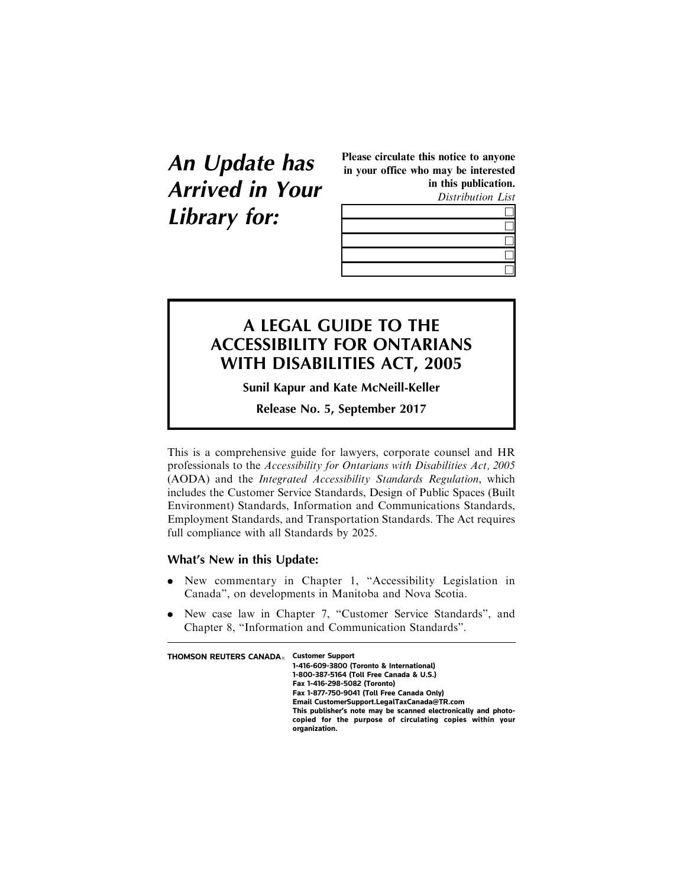**An Update has Arrived in Your Library for:**

Please circulate this notice to anyone in your office who may be interested in this publication.

Distribution List

## **A LEGAL GUIDE TO THE ACCESSIBILITY FOR ONTARIANS WITH DISABILITIES ACT, 2005**

**Sunil Kapur and Kate McNeill-Keller**

**Release No. 5, September 2017**

This is a comprehensive guide for lawyers, corporate counsel and HR professionals to the Accessibility for Ontarians with Disabilities Act, 2005 (AODA) and the Integrated Accessibility Standards Regulation, which includes the Customer Service Standards, Design of Public Spaces (Built Environment) Standards, Information and Communications Standards, Employment Standards, and Transportation Standards. The Act requires full compliance with all Standards by 2025.

## **What's New in this Update:**

- . New commentary in Chapter 1, "Accessibility Legislation in Canada", on developments in Manitoba and Nova Scotia.
- . New case law in Chapter 7, "Customer Service Standards", and Chapter 8, "Information and Communication Standards".

| <b>THOMSON REUTERS CANADA</b> | <b>Customer Support</b><br>1-416-609-3800 (Toronto & International)<br>1-800-387-5164 (Toll Free Canada & U.S.)<br>Fax 1-416-298-5082 (Toronto)<br>Fax 1-877-750-9041 (Toll Free Canada Only)<br>Email CustomerSupport.LegalTaxCanada@TR.com<br>This publisher's note may be scanned electronically and photo-<br>copied for the purpose of circulating copies within your |
|-------------------------------|----------------------------------------------------------------------------------------------------------------------------------------------------------------------------------------------------------------------------------------------------------------------------------------------------------------------------------------------------------------------------|
|                               | organization.                                                                                                                                                                                                                                                                                                                                                              |